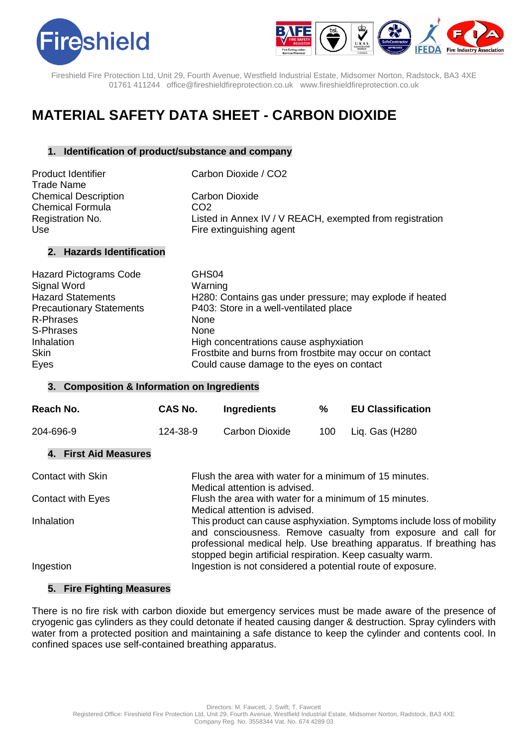



# **MATERIAL SAFETY DATA SHEET - CARBON DIOXIDE**

# **1. Identification of product/substance and company**

| Product Identifier<br><b>Trade Name</b> | Carbon Dioxide / CO2                                     |
|-----------------------------------------|----------------------------------------------------------|
| <b>Chemical Description</b>             | Carbon Dioxide                                           |
| <b>Chemical Formula</b>                 | CO <sub>2</sub>                                          |
| Registration No.                        | Listed in Annex IV / V REACH, exempted from registration |
| Use                                     | Fire extinguishing agent                                 |

# **2. Hazards Identification**

| <b>Hazard Pictograms Code</b>   | GHS04                                                    |
|---------------------------------|----------------------------------------------------------|
| Signal Word                     | Warning                                                  |
| <b>Hazard Statements</b>        | H280: Contains gas under pressure; may explode if heated |
| <b>Precautionary Statements</b> | P403: Store in a well-ventilated place                   |
| R-Phrases                       | None                                                     |
| S-Phrases                       | <b>None</b>                                              |
| Inhalation                      | High concentrations cause asphyxiation                   |
| <b>Skin</b>                     | Frostbite and burns from frostbite may occur on contact  |
| Eyes                            | Could cause damage to the eyes on contact                |

#### **3. Composition & Information on Ingredients**

| Reach No.                    | CAS No.                                                                                                                                                                                                                                                                                                                                                                 | <b>Ingredients</b>                                         | ℅   | <b>EU Classification</b> |
|------------------------------|-------------------------------------------------------------------------------------------------------------------------------------------------------------------------------------------------------------------------------------------------------------------------------------------------------------------------------------------------------------------------|------------------------------------------------------------|-----|--------------------------|
| 204-696-9                    | 124-38-9                                                                                                                                                                                                                                                                                                                                                                | Carbon Dioxide                                             | 100 | Liq. Gas (H280           |
| <b>4. First Aid Measures</b> |                                                                                                                                                                                                                                                                                                                                                                         |                                                            |     |                          |
| <b>Contact with Skin</b>     | Flush the area with water for a minimum of 15 minutes.<br>Medical attention is advised.                                                                                                                                                                                                                                                                                 |                                                            |     |                          |
| <b>Contact with Eyes</b>     | Flush the area with water for a minimum of 15 minutes.<br>Medical attention is advised.<br>This product can cause asphyxiation. Symptoms include loss of mobility<br>and consciousness. Remove casualty from exposure and call for<br>professional medical help. Use breathing apparatus. If breathing has<br>stopped begin artificial respiration. Keep casualty warm. |                                                            |     |                          |
| Inhalation                   |                                                                                                                                                                                                                                                                                                                                                                         |                                                            |     |                          |
| Ingestion                    |                                                                                                                                                                                                                                                                                                                                                                         | Ingestion is not considered a potential route of exposure. |     |                          |

## **5. Fire Fighting Measures**

There is no fire risk with carbon dioxide but emergency services must be made aware of the presence of cryogenic gas cylinders as they could detonate if heated causing danger & destruction. Spray cylinders with water from a protected position and maintaining a safe distance to keep the cylinder and contents cool. In confined spaces use self-contained breathing apparatus.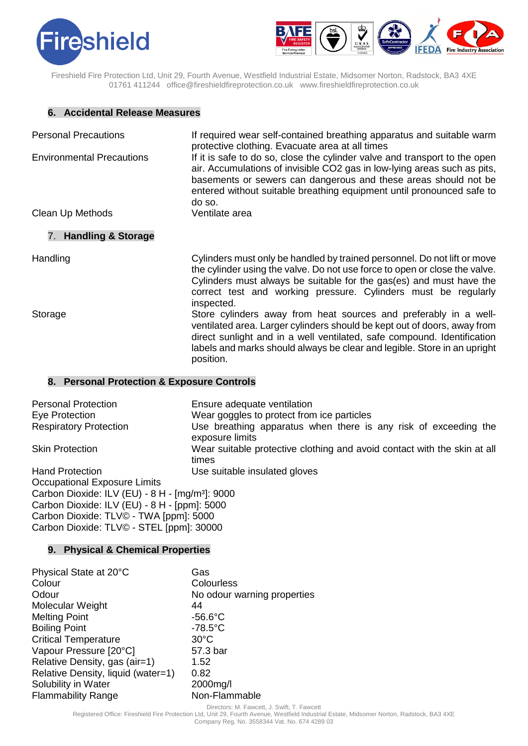



#### **6. Accidental Release Measures**

| <b>Personal Precautions</b><br><b>Environmental Precautions</b> | If required wear self-contained breathing apparatus and suitable warm<br>protective clothing. Evacuate area at all times<br>If it is safe to do so, close the cylinder valve and transport to the open<br>air. Accumulations of invisible CO2 gas in low-lying areas such as pits,<br>basements or sewers can dangerous and these areas should not be<br>entered without suitable breathing equipment until pronounced safe to<br>do so. |
|-----------------------------------------------------------------|------------------------------------------------------------------------------------------------------------------------------------------------------------------------------------------------------------------------------------------------------------------------------------------------------------------------------------------------------------------------------------------------------------------------------------------|
| Clean Up Methods                                                | Ventilate area                                                                                                                                                                                                                                                                                                                                                                                                                           |
| 7. Handling & Storage                                           |                                                                                                                                                                                                                                                                                                                                                                                                                                          |
| Handling                                                        | Cylinders must only be handled by trained personnel. Do not lift or move<br>the cylinder using the valve. Do not use force to open or close the valve.<br>Cylinders must always be suitable for the gas(es) and must have the<br>correct test and working pressure. Cylinders must be regularly<br>inspected.                                                                                                                            |
| Storage                                                         | Store cylinders away from heat sources and preferably in a well-<br>ventilated area. Larger cylinders should be kept out of doors, away from<br>direct sunlight and in a well ventilated, safe compound. Identification<br>labels and marks should always be clear and legible. Store in an upright<br>position.                                                                                                                         |

#### **8. Personal Protection & Exposure Controls**

| <b>Personal Protection</b>                                  | Ensure adequate ventilation                                                        |  |
|-------------------------------------------------------------|------------------------------------------------------------------------------------|--|
| Eye Protection                                              | Wear goggles to protect from ice particles                                         |  |
| <b>Respiratory Protection</b>                               | Use breathing apparatus when there is any risk of exceeding the<br>exposure limits |  |
| <b>Skin Protection</b>                                      | Wear suitable protective clothing and avoid contact with the skin at all<br>times  |  |
| <b>Hand Protection</b>                                      | Use suitable insulated gloves                                                      |  |
| Occupational Exposure Limits                                |                                                                                    |  |
| Carbon Dioxide: ILV (EU) - 8 H - [mg/m <sup>3</sup> ]: 9000 |                                                                                    |  |
| Carbon Dioxide: ILV (EU) - 8 H - [ppm]: 5000                |                                                                                    |  |
| Carbon Dioxide: TLV© - TWA [ppm]: 5000                      |                                                                                    |  |
| Carbon Dioxide: TLV© - STEL [ppm]: 30000                    |                                                                                    |  |

# **9. Physical & Chemical Properties**

| Physical State at 20°C             | Gas                         |
|------------------------------------|-----------------------------|
| Colour                             | Colourless                  |
| Odour                              | No odour warning properties |
| Molecular Weight                   | 44                          |
| <b>Melting Point</b>               | $-56.6^{\circ}$ C           |
| <b>Boiling Point</b>               | $-78.5^{\circ}$ C           |
| <b>Critical Temperature</b>        | $30^{\circ}$ C              |
| Vapour Pressure [20°C]             | 57.3 bar                    |
| Relative Density, gas (air=1)      | 1.52                        |
| Relative Density, liquid (water=1) | 0.82                        |
| Solubility in Water                | 2000mg/l                    |
| <b>Flammability Range</b>          | Non-Flammable               |

Directors: M. Fawcett, J. Swift, T. Fawcett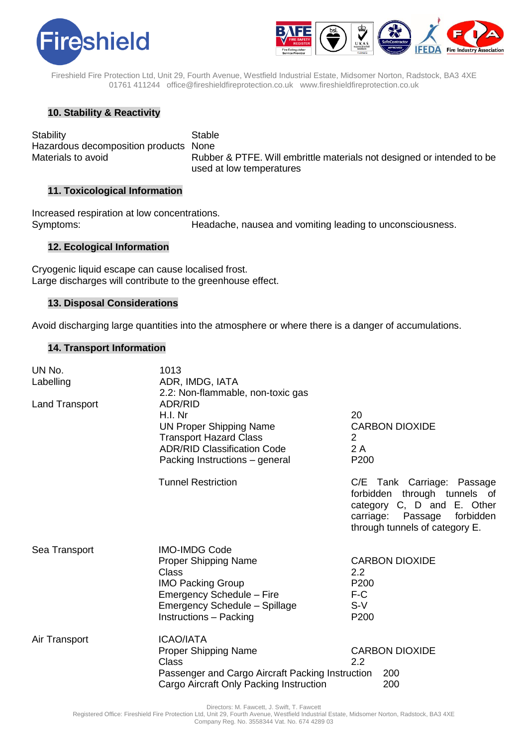



# **10. Stability & Reactivity**

Stability **Stable** Hazardous decomposition products None

Materials to avoid **Rubber & PTFE.** Will embrittle materials not designed or intended to be used at low temperatures

# **11. Toxicological Information**

Increased respiration at low concentrations. Symptoms: Headache, nausea and vomiting leading to unconsciousness.

#### **12. Ecological Information**

Cryogenic liquid escape can cause localised frost. Large discharges will contribute to the greenhouse effect.

#### **13. Disposal Considerations**

Avoid discharging large quantities into the atmosphere or where there is a danger of accumulations.

#### **14. Transport Information**

| UN No.<br>Labelling<br><b>Land Transport</b> | 1013<br>ADR, IMDG, IATA<br>2.2: Non-flammable, non-toxic gas<br>ADR/RID<br>H.I. Nr<br><b>UN Proper Shipping Name</b><br><b>Transport Hazard Class</b><br><b>ADR/RID Classification Code</b><br>Packing Instructions - general | 20<br>2<br>2 A<br>P200                                      | <b>CARBON DIOXIDE</b>                                                                                                                    |
|----------------------------------------------|-------------------------------------------------------------------------------------------------------------------------------------------------------------------------------------------------------------------------------|-------------------------------------------------------------|------------------------------------------------------------------------------------------------------------------------------------------|
|                                              | <b>Tunnel Restriction</b>                                                                                                                                                                                                     | forbidden<br>carriage:                                      | C/E Tank Carriage: Passage<br>through tunnels of<br>category C, D and E. Other<br>Passage<br>forbidden<br>through tunnels of category E. |
| Sea Transport                                | <b>IMO-IMDG Code</b><br><b>Proper Shipping Name</b><br>Class<br><b>IMO Packing Group</b><br>Emergency Schedule - Fire<br>Emergency Schedule - Spillage<br>Instructions - Packing                                              | $2.2^{\circ}$<br>P <sub>200</sub><br>$F-C$<br>$S-V$<br>P200 | <b>CARBON DIOXIDE</b>                                                                                                                    |
| Air Transport                                | <b>ICAO/IATA</b><br><b>Proper Shipping Name</b><br>Class<br>Passenger and Cargo Aircraft Packing Instruction<br>Cargo Aircraft Only Packing Instruction                                                                       | $2.2\phantom{0}$                                            | <b>CARBON DIOXIDE</b><br>200<br>200                                                                                                      |

Directors: M. Fawcett, J. Swift, T. Fawcett